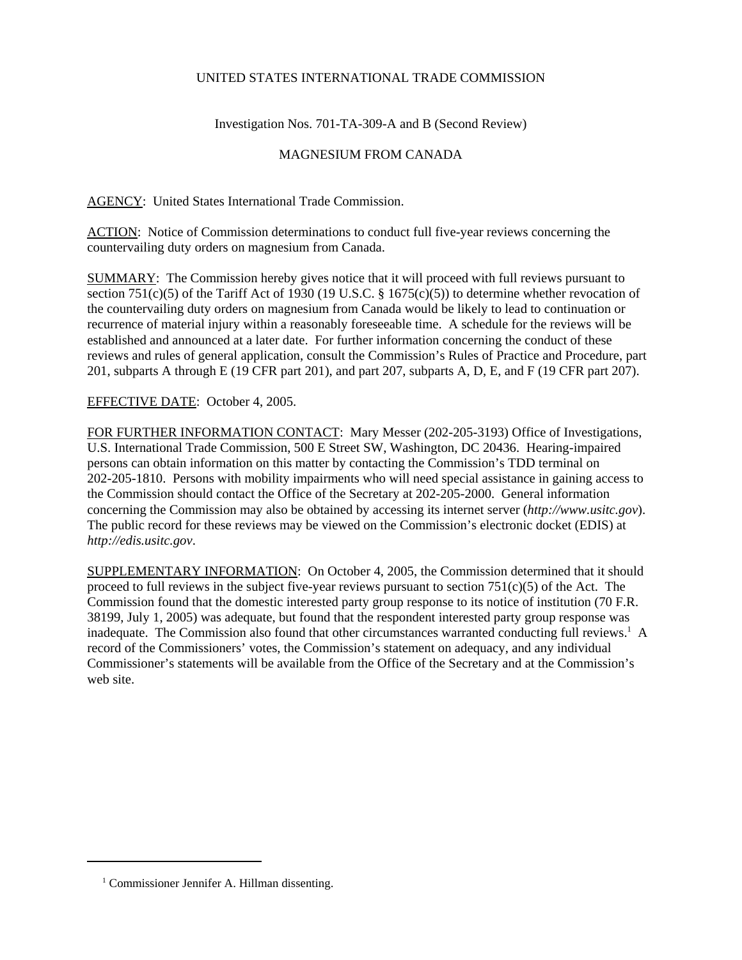## UNITED STATES INTERNATIONAL TRADE COMMISSION

Investigation Nos. 701-TA-309-A and B (Second Review)

## MAGNESIUM FROM CANADA

AGENCY: United States International Trade Commission.

ACTION: Notice of Commission determinations to conduct full five-year reviews concerning the countervailing duty orders on magnesium from Canada.

SUMMARY: The Commission hereby gives notice that it will proceed with full reviews pursuant to section 751(c)(5) of the Tariff Act of 1930 (19 U.S.C. § 1675(c)(5)) to determine whether revocation of the countervailing duty orders on magnesium from Canada would be likely to lead to continuation or recurrence of material injury within a reasonably foreseeable time. A schedule for the reviews will be established and announced at a later date. For further information concerning the conduct of these reviews and rules of general application, consult the Commission's Rules of Practice and Procedure, part 201, subparts A through E (19 CFR part 201), and part 207, subparts A, D, E, and F (19 CFR part 207).

## EFFECTIVE DATE: October 4, 2005.

FOR FURTHER INFORMATION CONTACT: Mary Messer (202-205-3193) Office of Investigations, U.S. International Trade Commission, 500 E Street SW, Washington, DC 20436. Hearing-impaired persons can obtain information on this matter by contacting the Commission's TDD terminal on 202-205-1810. Persons with mobility impairments who will need special assistance in gaining access to the Commission should contact the Office of the Secretary at 202-205-2000. General information concerning the Commission may also be obtained by accessing its internet server (*http://www.usitc.gov*). The public record for these reviews may be viewed on the Commission's electronic docket (EDIS) at *http://edis.usitc.gov*.

SUPPLEMENTARY INFORMATION: On October 4, 2005, the Commission determined that it should proceed to full reviews in the subject five-year reviews pursuant to section 751(c)(5) of the Act. The Commission found that the domestic interested party group response to its notice of institution (70 F.R. 38199, July 1, 2005) was adequate, but found that the respondent interested party group response was inadequate. The Commission also found that other circumstances warranted conducting full reviews.<sup>1</sup> A record of the Commissioners' votes, the Commission's statement on adequacy, and any individual Commissioner's statements will be available from the Office of the Secretary and at the Commission's web site.

<sup>&</sup>lt;sup>1</sup> Commissioner Jennifer A. Hillman dissenting.